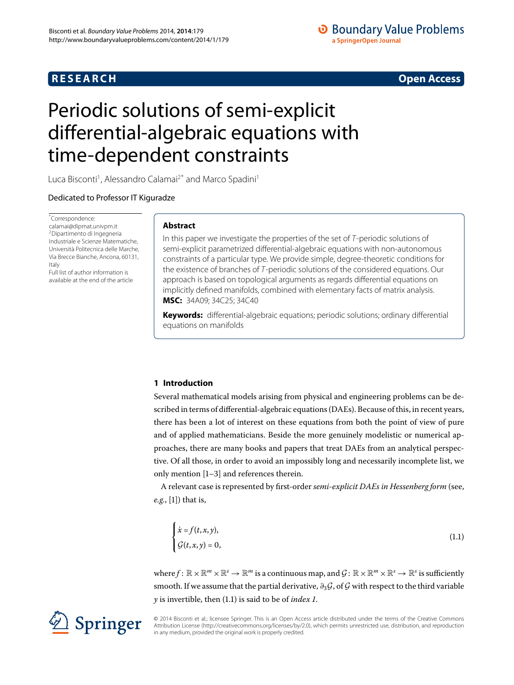# **RESEARCH CONSTRUCTER IN A RESEARCH CONSTRUCTER IN A RESEARCH**

# **O** Boundary Value Problems a SpringerOpen Journal

# <span id="page-0-0"></span>Periodic solutions of semi-explicit differential-algebraic equations with time-dependent constraints

Luca Bisconti<sup>[1](#page-17-0)</sup>, Alessandro Calamai<sup>2[\\*](#page-0-0)</sup> and Marco Spadini<sup>1</sup>

Dedicated to Professor IT Kiguradze

\* Correspondence: [calamai@dipmat.univpm.it](mailto:calamai@dipmat.univpm.it) 2Dipartimento di Ingegneria Industriale e Scienze Matematiche, Università Politecnica delle Marche, Via Brecce Bianche, Ancona, 60131, Italy Full list of author information is

available at the end of the article

# **Abstract**

In this paper we investigate the properties of the set of T-periodic solutions of semi-explicit parametrized differential-algebraic equations with non-autonomous constraints of a particular type. We provide simple, degree-theoretic conditions for the existence of branches of T-periodic solutions of the considered equations. Our approach is based on topological arguments as regards differential equations on implicitly defined manifolds, combined with elementary facts of matrix analysis. **MSC:** 34A09; 34C25; 34C40

**Keywords:** differential-algebraic equations; periodic solutions; ordinary differential equations on manifolds

# **1 Introduction**

Several mathematical models arising from physical and engineering problems can be described in terms of differential-algebraic equations (DAEs). Because of this, in recent years, there has been a lot of interest on these equations from both the point of view of pure and of applied mathematicians. Beside the more genuinely modelistic or numerical approaches, there are many books and papers that treat DAEs from an analytical perspective. Of all those, in order to avoid an impossibly long and necessarily incomplete list, we only mention  $[1-3]$  $[1-3]$  and references therein.

A relevant case is represented by first-order *semi-explicit DAEs in Hessenberg form* (see, *e.g.*, [1[\]](#page-17-2)) that is,

<span id="page-0-1"></span>
$$
\begin{cases}\n\dot{x} = f(t, x, y), \\
\mathcal{G}(t, x, y) = 0,\n\end{cases}
$$
\n(1.1)

where  $f: \mathbb{R} \times \mathbb{R}^m \times \mathbb{R}^s \to \mathbb{R}^m$  is a continuous map, and  $\mathcal{G}: \mathbb{R} \times \mathbb{R}^m \times \mathbb{R}^s \to \mathbb{R}^s$  is sufficiently smooth. If we assume that the partial derivative,  $\partial_3 \mathcal{G}$ , of  $\mathcal{G}$  with respect to the third variable *y* is invertible, then (1.1) is said to be of *index 1*.

© 2014 Bisconti et al.; licensee Springer. This is an Open Access article distributed under the terms of the Creative Commons Attribution License (http://creativecommons.org/licenses/by/2.0), which permits unrestricted use, distribution, and reproduction in any medium, provided the original work is properly credited.

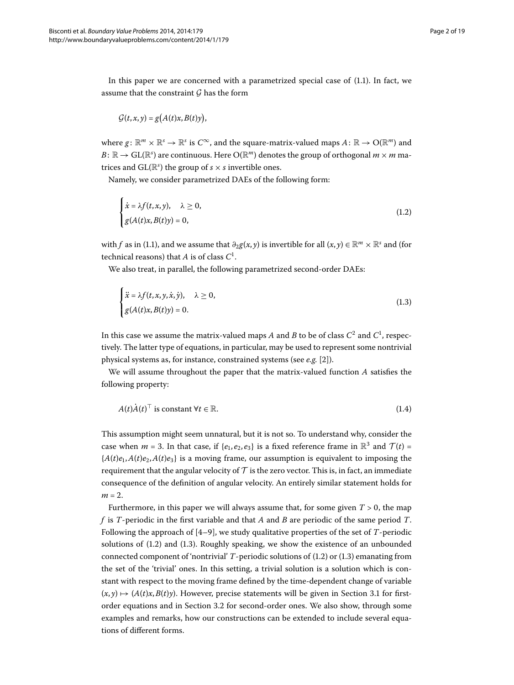In this paper we are concerned with a parametrized special case of  $(1.1)$  $(1.1)$  $(1.1)$ . In fact, we assume that the constraint  $G$  has the form

<span id="page-1-0"></span>
$$
\mathcal{G}(t,x,y)=g\big(A(t)x,B(t)y\big),
$$

where  $g: \mathbb{R}^m \times \mathbb{R}^s \to \mathbb{R}^s$  is  $C^\infty$ , and the square-matrix-valued maps  $A: \mathbb{R} \to \mathcal{O}(\mathbb{R}^m)$  and  $B\colon\mathbb{R}\to\mathrm{GL}(\mathbb{R}^s)$  are continuous. Here  $\mathrm{O}(\mathbb{R}^m)$  denotes the group of orthogonal  $m\times m$  matrices and  $\text{GL}(\mathbb{R}^s)$  the group of  $s \times s$  invertible ones.

Namely, we consider parametrized DAEs of the following form:

<span id="page-1-1"></span>
$$
\begin{cases}\n\dot{x} = \lambda f(t, x, y), & \lambda \ge 0, \\
g(A(t)x, B(t)y) = 0,\n\end{cases}
$$
\n(1.2)

with *f* as in (1[.](#page-0-1)1), and we assume that  $\partial_2 g(x, y)$  is invertible for all  $(x, y) \in \mathbb{R}^m \times \mathbb{R}^s$  and (for technical reasons) that *A* is of class *C* .

We also treat, in parallel, the following parametrized second-order DAEs:

$$
\begin{cases}\n\ddot{x} = \lambda f(t, x, y, \dot{x}, \dot{y}), & \lambda \ge 0, \\
g(A(t)x, B(t)y) = 0.\n\end{cases}
$$
\n(1.3)

In this case we assume the matrix-valued maps  $A$  and  $B$  to be of class  $C^2$  and  $C^1$ , respectively. The latter type of equations, in particular, may be used to represent some nontrivial physical systems as, for instance, constrained systems (see *e.g.* [\[](#page-17-4)2]).

We will assume throughout the paper that the matrix-valued function *A* satisfies the following property:

$$
A(t)\dot{A}(t)^{\top} \text{ is constant } \forall t \in \mathbb{R}.\tag{1.4}
$$

This assumption might seem unnatural, but it is not so. To understand why, consider the case when  $m = 3$ . In that case, if  $\{e_1, e_2, e_3\}$  is a fixed reference frame in  $\mathbb{R}^3$  and  $\mathcal{T}(t) =$  ${A(t)e_1, A(t)e_2, A(t)e_3}$  is a moving frame, our assumption is equivalent to imposing the requirement that the angular velocity of  $\mathcal T$  is the zero vector. This is, in fact, an immediate consequence of the definition of angular velocity. An entirely similar statement holds for  $m = 2$ .

Furthermore, in this paper we will always assume that, for some given  $T > 0$ , the map *f* is *T*-periodic in the first variable and that *A* and *B* are periodic of the same period *T*. Following the approach of  $[4-9]$ , we study qualitative properties of the set of *T*-periodic solutions of  $(1.2)$  $(1.2)$  $(1.2)$  and  $(1.3)$ . Roughly speaking, we show the existence of an unbounded connected component of 'nontrivial'  $T$ -periodic solutions of  $(1.2)$  $(1.2)$  $(1.2)$  or  $(1.3)$  emanating from the set of the 'trivial' ones. In this setting, a trivial solution is a solution which is constant with respect to the moving frame defined by the time-dependent change of variable  $(x, y) \mapsto (A(t)x, B(t)y)$ [.](#page-5-0) However, precise statements will be given in Section 3.1 for first-order equations and in Section 3[.](#page-12-0)2 for second-order ones. We also show, through some examples and remarks, how our constructions can be extended to include several equations of different forms.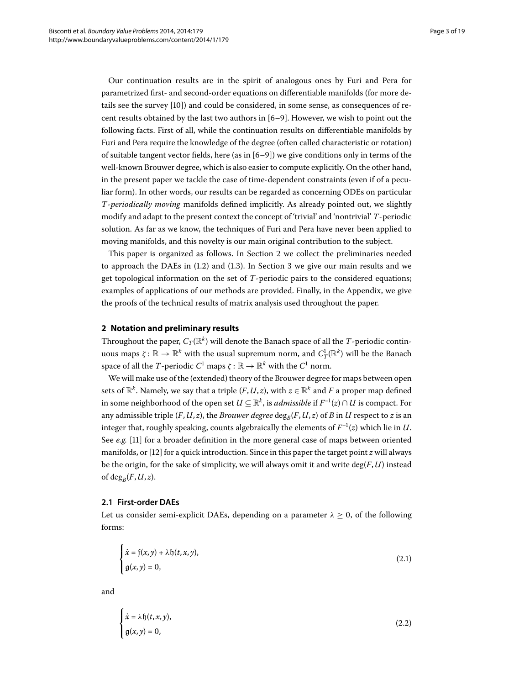Our continuation results are in the spirit of analogous ones by Furi and Pera for parametrized first- and second-order equations on differentiable manifolds (for more details see the survey [[\]](#page-18-0)) and could be considered, in some sense, as consequences of recent results obtained by the last two authors in  $[6-9]$  $[6-9]$ . However, we wish to point out the following facts. First of all, while the continuation results on differentiable manifolds by Furi and Pera require the knowledge of the degree (often called characteristic or rotation) of suitable tangent vector fields, here (as in  $[6-9]$ ) we give conditions only in terms of the well-known Brouwer degree, which is also easier to compute explicitly. On the other hand, in the present paper we tackle the case of time-dependent constraints (even if of a peculiar form). In other words, our results can be regarded as concerning ODEs on particular *T*-*periodically moving* manifolds defined implicitly. As already pointed out, we slightly modify and adapt to the present context the concept of 'trivial' and 'nontrivial' *T*-periodic solution. As far as we know, the techniques of Furi and Pera have never been applied to moving manifolds, and this novelty is our main original contribution to the subject.

<span id="page-2-0"></span>This paper is organized as follows. In Section 2 we collect the preliminaries needed to approach the DAEs in  $(1.2)$  $(1.2)$  $(1.2)$  and  $(1.3)$ . In Section 3 we give our main results and we get topological information on the set of *T*-periodic pairs to the considered equations; examples of applications of our methods are provided. Finally, in the Appendix, we give the proofs of the technical results of matrix analysis used throughout the paper.

#### **2 Notation and preliminary results**

Throughout the paper,  $C_T(\mathbb{R}^k)$  will denote the Banach space of all the *T*-periodic contin- ${\rm u}$ οus maps  $\zeta:\mathbb{R}\to\mathbb{R}^k$  with the usual supremum norm, and  $C^1_T(\mathbb{R}^k)$  will be the Banach space of all the *T*-periodic  $C^1$  maps  $\zeta : \mathbb{R} \to \mathbb{R}^k$  with the  $C^1$  norm.

<span id="page-2-3"></span>We will make use of the (extended) theory of the Brouwer degree for maps between open sets of  $\mathbb{R}^k$ . Namely, we say that a triple  $(F, U, z)$ , with  $z \in \mathbb{R}^k$  and F a proper map defined in some neighborhood of the open set  $U \subseteq \mathbb{R}^k$ , is *admissible* if  $F^{-1}(z) \cap U$  is compact. For any admissible triple  $(F, U, z)$ , the *Brouwer degree* deg<sub>*B*</sub>( $F, U, z$ ) of *B* in *U* respect to *z* is an integer that, roughly speaking, counts algebraically the elements of  $F^{-1}(z)$  which lie in  $U$ . See *e.g.* [11] for a broader definition in the more general case of maps between oriented manifolds, or [12] for a quick introduction. Since in this paper the target point *z* will always be the origin, for the sake of simplicity, we will always omit it and write deg(*F*,*U*) instead of deg<sub>*B</sub>*( $F, U, z$ ).</sub>

#### **2.1 First-order DAEs**

Let us consider semi-explicit DAEs, depending on a parameter  $\lambda \geq 0$ , of the following forms:

<span id="page-2-2"></span><span id="page-2-1"></span>
$$
\begin{cases}\n\dot{x} = f(x, y) + \lambda f(t, x, y), \\
g(x, y) = 0,\n\end{cases}
$$
\n(2.1)

and

$$
\begin{cases}\n\dot{x} = \lambda \mathfrak{h}(t, x, y), \\
\mathfrak{g}(x, y) = 0,\n\end{cases}
$$
\n(2.2)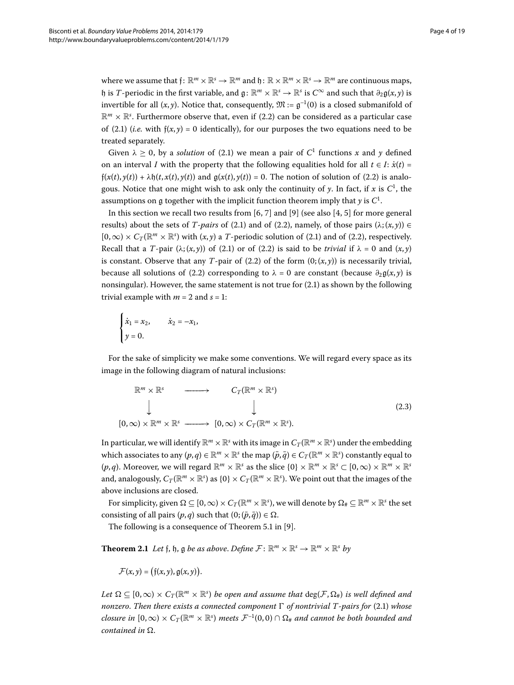where we assume that  $f: \mathbb{R}^m \times \mathbb{R}^s \to \mathbb{R}^m$  and  $\mathfrak{h}: \mathbb{R} \times \mathbb{R}^m \times \mathbb{R}^s \to \mathbb{R}^m$  are continuous maps, h is *T*-periodic in the first variable, and  $g: \mathbb{R}^m \times \mathbb{R}^s \to \mathbb{R}^s$  is  $C^\infty$  and such that  $\partial_2 g(x, y)$  is invertible for all  $(x, y)$ . Notice that, consequently,  $\mathfrak{M} := \mathfrak{g}^{-1}(0)$  is a closed submanifold of  $\mathbb{R}^m \times \mathbb{R}^s$ . Furthermore observe that, even if (2.2) can be considered as a particular case of (2[.](#page-2-2)1) (*i.e.* with  $f(x, y) = 0$  identically), for our purposes the two equations need to be treated separately.

Given  $\lambda > 0$ , by a *solution* of (2.1) we mean a pair of  $C^1$  functions x and y defined on an interval *I* with the property that the following equalities hold for all  $t \in I$ :  $\dot{x}(t)$  =  $f(x(t), y(t)) + \lambda f(t, x(t), y(t))$  and  $g(x(t), y(t)) = 0$ [.](#page-2-1) The notion of solution of (2.2) is analogous. Notice that one might wish to ask only the continuity of  $y$ . In fact, if  $x$  is  $C^1$ , the assumptions on  ${\mathfrak g}$  together with the implicit function theorem imply that  $y$  is  $C^1.$ 

In this section we recall two results from [6, 7[\]](#page-17-9) and [\[](#page-17-5)9] (see also [4, 5] for more general results) about the sets of *T*-pairs of (2[.](#page-2-2)1) and of (2.2), namely, of those pairs ( $\lambda$ ; (*x*, *y*)) ∈  $[0,\infty) \times C_T(\mathbb{R}^m \times \mathbb{R}^s)$  with  $(x,y)$  a *T*-periodic solution of (2[.](#page-2-2)1) and of (2.2), respectively. Recall that a *T*-pair  $(\lambda; (x, y))$  of (2.1) or of (2.2) is said to be *trivial* if  $\lambda = 0$  and  $(x, y)$ is constant. Observe that any *T*-pair of (2.2) of the form  $(0; (x, y))$  is necessarily trivial, because all solutions of (2.2) corresponding to  $\lambda = 0$  are constant (because  $\partial_2 g(x, y)$  is nonsingular). However, the same statement is not true for  $(2.1)$  as shown by the following trivial example with  $m = 2$  and  $s = 1$ :

<span id="page-3-0"></span>
$$
\begin{cases} \n\dot{x}_1 = x_2, & \dot{x}_2 = -x_1, \\
y = 0. & \n\end{cases}
$$

For the sake of simplicity we make some conventions. We will regard every space as its image in the following diagram of natural inclusions:

$$
\mathbb{R}^m \times \mathbb{R}^s \longrightarrow C_T(\mathbb{R}^m \times \mathbb{R}^s)
$$
  
\n
$$
\downarrow \qquad \qquad \downarrow
$$
  
\n
$$
[0, \infty) \times \mathbb{R}^m \times \mathbb{R}^s \longrightarrow [0, \infty) \times C_T(\mathbb{R}^m \times \mathbb{R}^s).
$$
  
\n(2.3)

<span id="page-3-1"></span>In particular, we will identify  $\mathbb{R}^m \times \mathbb{R}^s$  with its image in  $C_T(\mathbb{R}^m \times \mathbb{R}^s)$  under the embedding which associates to any  $(p,q)\in \mathbb{R}^m\times\mathbb{R}^s$  the map  $(\bar{p},\bar{q})\in C_T(\mathbb{R}^m\times\mathbb{R}^s)$  constantly equal to  $(p,q)$ . Moreover, we will regard  $\mathbb{R}^m \times \mathbb{R}^s$  as the slice  $\{0\} \times \mathbb{R}^m \times \mathbb{R}^s \subset [0,\infty) \times \mathbb{R}^m \times \mathbb{R}^s$ and, analogously,  $C_T(\mathbb{R}^m\times\mathbb{R}^s)$  as  $\{0\}\times C_T(\mathbb{R}^m\times\mathbb{R}^s)$ . We point out that the images of the above inclusions are closed.

For simplicity, given  $\Omega \subseteq [0,\infty) \times C_T(\mathbb{R}^m \times \mathbb{R}^s)$ , we will denote by  $\Omega_\# \subseteq \mathbb{R}^m \times \mathbb{R}^s$  the set consisting of all pairs  $(p, q)$  such that  $(0; (\bar{p}, \bar{q})) \in \Omega$ .

The following is a consequence of Theorem  $5.1$  in [\[](#page-17-6)9].

**Theorem 2.1** Let f, h, g be as above. Define  $\mathcal{F}: \mathbb{R}^m \times \mathbb{R}^s \to \mathbb{R}^m \times \mathbb{R}^s$  by

$$
\mathcal{F}(x,y) = (f(x,y), g(x,y)).
$$

 $Let\ \Omega\subseteq [0,\infty)\times C_T(\mathbb{R}^m\times\mathbb{R}^s)$  *be open and assume that*  $\text{deg}(\mathcal{F},\Omega_\#)$  *is well defined and nonzero. Then there exists a connected component*  $\Gamma$  *of nontrivial T-pairs for* (2.1) *whose closure in*  $[0,\infty) \times C_T(\mathbb{R}^m \times \mathbb{R}^s)$  meets  $\mathcal{F}^{-1}(0,0) \cap \Omega_\#$  and cannot be both bounded and *contained in*  $\Omega$ .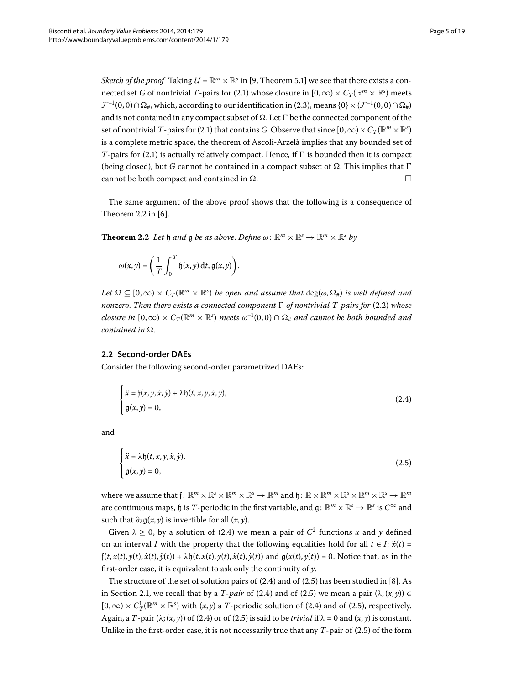*Sketch of the proof* Taking  $U = \mathbb{R}^m \times \mathbb{R}^s$  in [9, Theorem 5.1] we see that there exists a connected set *G* of nontrivial *T*-pairs for (2[.](#page-2-2)1) whose closure in  $[0, \infty) \times C_T(\mathbb{R}^m \times \mathbb{R}^s)$  meets  $\mathcal{F}^{-1}(0,0)\cap\Omega_{\#}$ , which, according to our identification in (2[.](#page-3-0)3), means {0}  $\times$  ( $\mathcal{F}^{-1}(0,0)\cap\Omega_{\#}$ ) and is not contained in any compact subset of  $\Omega$ . Let  $\Gamma$  be the connected component of the set of nontrivial *T*-pairs for (2[.](#page-2-2)1) that contains *G*. Observe that since  $[0,\infty)\times C_T(\mathbb{R}^m\times\mathbb{R}^s)$ is a complete metric space, the theorem of Ascoli-Arzelà implies that any bounded set of  $T$ -pairs for (2.1) is actually relatively compact. Hence, if  $\Gamma$  is bounded then it is compact (being closed), but *G* cannot be contained in a compact subset of  $\Omega$ . This implies that  $\Gamma$ cannot be both compact and contained in  $\Omega$ .

<span id="page-4-2"></span>The same argument of the above proof shows that the following is a consequence of Theorem  $2.2$  in  $[6]$ .

**Theorem 2.2** Let  $\mathfrak{h}$  and  $\mathfrak{g}$  be as above. Define  $\omega: \mathbb{R}^m \times \mathbb{R}^s \to \mathbb{R}^m \times \mathbb{R}^s$  by

<span id="page-4-0"></span>
$$
\omega(x,y) = \left(\frac{1}{T}\int_0^T \mathfrak{h}(x,y) \, \mathrm{d}t, \mathfrak{g}(x,y)\right).
$$

<span id="page-4-3"></span> $Let \ \Omega \subseteq [0,\infty) \times C_T(\mathbb{R}^m \times \mathbb{R}^s)$  *be open and assume that*  $\deg(\omega, \Omega_{\#})$  *is well defined and nonzero. Then there exists a connected component*  $\Gamma$  *of nontrivial T-pairs for* (2.2) *whose closure in*  $[0,\infty) \times C_T(\mathbb{R}^m \times \mathbb{R}^s)$  meets  $\omega^{-1}(0,0) \cap \Omega_\#$  and cannot be both bounded and *contained in*  $\Omega$ .

### **2.2 Second-order DAEs**

Consider the following second-order parametrized DAEs:

<span id="page-4-1"></span>
$$
\begin{cases}\n\ddot{x} = f(x, y, \dot{x}, \dot{y}) + \lambda f(t, x, y, \dot{x}, \dot{y}), \\
g(x, y) = 0,\n\end{cases}
$$
\n(2.4)

and

$$
\begin{cases} \n\ddot{x} = \lambda \mathfrak{h}(t, x, y, \dot{x}, \dot{y}), \\ \ng(x, y) = 0, \n\end{cases} \n\tag{2.5}
$$

where we assume that  $f: \mathbb{R}^m \times \mathbb{R}^s \times \mathbb{R}^m \times \mathbb{R}^s \to \mathbb{R}^m$  and  $\mathfrak{h}: \mathbb{R} \times \mathbb{R}^m \times \mathbb{R}^s \times \mathbb{R}^m \times \mathbb{R}^s \to \mathbb{R}^m$ are continuous maps,  $\mathfrak h$  is *T*-periodic in the first variable, and  $\mathfrak g: \mathbb{R}^m \times \mathbb{R}^s \to \mathbb{R}^s$  is  $C^\infty$  and such that  $\partial_2 g(x, y)$  is invertible for all  $(x, y)$ .

Given  $\lambda \geq 0$ , by a solution of (2.4) we mean a pair of  $C^2$  functions x and y defined on an interval *I* with the property that the following equalities hold for all  $t \in I$ :  $\ddot{x}(t)$  =  $\mathfrak{f}(t,x(t),y(t),\dot{x}(t),\dot{y}(t)) + \lambda \mathfrak{h}(t,x(t),y(t),\dot{x}(t),\dot{y}(t))$  and  $\mathfrak{g}(x(t),y(t)) = 0$ . Notice that, as in the first-order case, it is equivalent to ask only the continuity of *y*.

The structure of the set of solution pairs of  $(2.4)$  and of  $(2.5)$  has been studied in [8[\]](#page-17-10). As in Section 2.1, we recall that by a *T*-pair of (2.4) and of (2.5) we mean a pair  $(\lambda; (x, y)) \in$  $[0,\infty) \times C_T^1(\mathbb{R}^m \times \mathbb{R}^s)$  with  $(x,y)$  a *T*-periodic solution of (2.4) and of (2.5), respectively. Again, a *T*-pair  $(\lambda; (x, y))$  of (2[.](#page-4-0)4) or of (2.5) is said to be *trivial* if  $\lambda = 0$  and  $(x, y)$  is constant. Unlike in the first-order case, it is not necessarily true that any  $T$ -pair of  $(2.5)$  of the form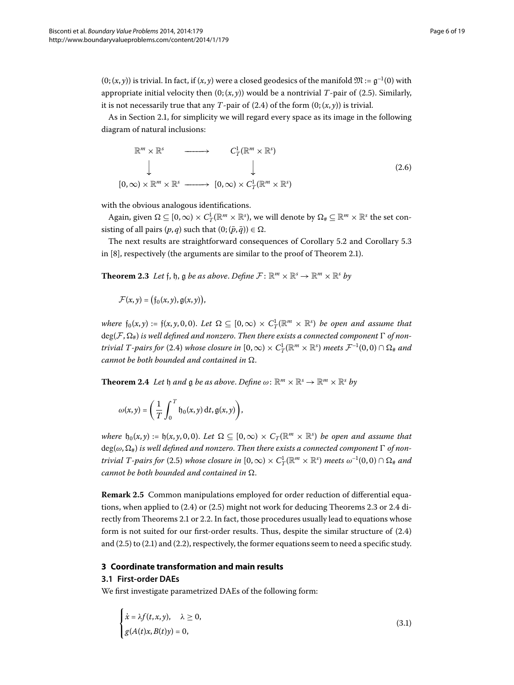$(0; (x, y))$  is trivial. In fact, if  $(x, y)$  were a closed geodesics of the manifold  $\mathfrak{M} := \mathfrak{g}^{-1}(0)$  with appropriate initial velocity then  $(0; (x, y))$  would be a nontrivial *T*-pair of (2.5). Similarly, it is not necessarily true that any *T*-pair of (2.4) of the form  $(0; (x, y))$  is trivial.

As in Section 2.1, for simplicity we will regard every space as its image in the following diagram of natural inclusions:

$$
\mathbb{R}^m \times \mathbb{R}^s \longrightarrow C_T^1(\mathbb{R}^m \times \mathbb{R}^s)
$$
  
\n
$$
\downarrow \qquad \qquad \downarrow
$$
  
\n
$$
[0, \infty) \times \mathbb{R}^m \times \mathbb{R}^s \longrightarrow [0, \infty) \times C_T^1(\mathbb{R}^m \times \mathbb{R}^s)
$$
  
\n(2.6)

<span id="page-5-2"></span>with the obvious analogous identifications.

Again, given  $\Omega \subseteq [0,\infty) \times C^1_T(\mathbb{R}^m \times \mathbb{R}^s)$ , we will denote by  $\Omega_\# \subseteq \mathbb{R}^m \times \mathbb{R}^s$  the set consisting of all pairs  $(p, q)$  such that  $(0; (\bar{p}, \bar{q})) \in \Omega$ .

The next results are straightforward consequences of Corollary 5.2 and Corollary 5.3 in  $[8]$  $[8]$ , respectively (the arguments are similar to the proof of Theorem 2.1).

**Theorem 2.3** Let f, h, g be as above. Define  $\mathcal{F} \colon \mathbb{R}^m \times \mathbb{R}^s \to \mathbb{R}^m \times \mathbb{R}^s$  by

$$
\mathcal{F}(x,y)=\big(\mathfrak{f}_0(x,y),\mathfrak{g}(x,y)\big),
$$

<span id="page-5-3"></span>*where*  $f_0(x, y) := f(x, y, 0, 0)$ . Let  $\Omega \subseteq [0, \infty) \times C_T^1(\mathbb{R}^m \times \mathbb{R}^s)$  be open and assume that  $deg(\mathcal{F}, \Omega_{\#})$  is well defined and nonzero. Then there exists a connected component  $\Gamma$  of non*trivial T-pairs for* (2.4) *whose closure in*  $[0, \infty) \times C_T^1(\mathbb{R}^m \times \mathbb{R}^s)$  *meets*  $\mathcal{F}^{-1}(0,0) \cap \Omega_\#$  and *cannot be both bounded and contained in* Ω.

**Theorem 2.4** Let  $\mathfrak{h}$  and  $\mathfrak{g}$  be as above. Define  $\omega: \mathbb{R}^m \times \mathbb{R}^s \to \mathbb{R}^m \times \mathbb{R}^s$  by

$$
\omega(x,y) = \left(\frac{1}{T}\int_0^T \mathfrak{h}_0(x,y) \, \mathrm{d}t, \mathfrak{g}(x,y)\right),
$$

*where*  $\mathfrak{h}_0(x, y) := \mathfrak{h}(x, y, 0, 0)$ . Let  $\Omega \subseteq [0, \infty) \times C_T(\mathbb{R}^m \times \mathbb{R}^s)$  be open and assume that  $deg(\omega, \Omega_{\#})$  is well defined and nonzero. Then there exists a connected component  $\Gamma$  of non*trivial T-pairs for* (2.5) *whose closure in*  $[0,\infty) \times C_T^1(\mathbb{R}^m \times \mathbb{R}^s)$  *meets*  $\omega^{-1}(0,0) \cap \Omega_*$  and *cannot be both bounded and contained in*  $\Omega$ *.* 

<span id="page-5-1"></span><span id="page-5-0"></span>**Remark 2.5** Common manipulations employed for order reduction of differential equations, when applied to  $(2.4)$  $(2.4)$  $(2.4)$  or  $(2.5)$  might not work for deducing Theorems 2.3 or 2.4 di-rectly from Theorems 2[.](#page-4-2)1 or 2.2. In fact, those procedures usually lead to equations whose form is not suited for our first-order results. Thus, despite the similar structure of  $(2.4)$ and  $(2.5)$  $(2.5)$  $(2.5)$  to  $(2.1)$  and  $(2.2)$ , respectively, the former equations seem to need a specific study.

#### **3 Coordinate transformation and main results**

### **3.1 First-order DAEs**

We first investigate parametrized DAEs of the following form:

<span id="page-5-4"></span>
$$
\begin{cases}\n\dot{x} = \lambda f(t, x, y), & \lambda \ge 0, \\
g(A(t)x, B(t)y) = 0,\n\end{cases}
$$
\n(3.1)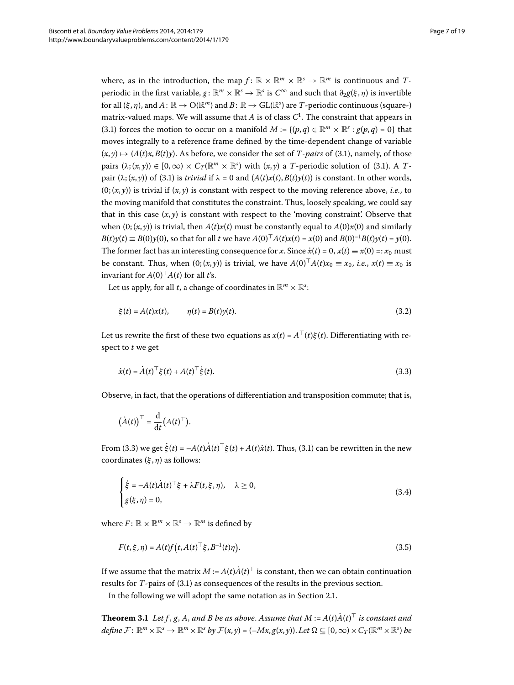where, as in the introduction, the map  $f: \mathbb{R} \times \mathbb{R}^m \times \mathbb{R}^s \to \mathbb{R}^m$  is continuous and *T*periodic in the first variable,  $g: \mathbb{R}^m \times \mathbb{R}^s \to \mathbb{R}^s$  is  $C^\infty$  and such that  $\partial_2 g(\xi, \eta)$  is invertible for all  $(\xi, \eta)$ , and  $A: \mathbb{R} \to O(\mathbb{R}^m)$  and  $B: \mathbb{R} \to GL(\mathbb{R}^s)$  are *T*-periodic continuous (square-) matrix-valued maps. We will assume that *A* is of class *C* . The constraint that appears in (3[.](#page-5-4)1) forces the motion to occur on a manifold  $M := \{(p,q) \in \mathbb{R}^m \times \mathbb{R}^s : g(p,q) = 0\}$  that moves integrally to a reference frame defined by the time-dependent change of variable  $(x, y) \mapsto (A(t)x, B(t)y)$ . As before, we consider the set of *T*-pairs of (3.1), namely, of those pairs  $(\lambda; (x, y)) \in [0, \infty) \times C_T(\mathbb{R}^m \times \mathbb{R}^s)$  with  $(x, y)$  a *T*-periodic solution of (3[.](#page-5-4)1). A *T*pair  $(\lambda; (\alpha, \gamma))$  of (3[.](#page-5-4)1) is *trivial* if  $\lambda = 0$  and  $(A(t)x(t), B(t)\gamma(t))$  is constant. In other words,  $(0; (x, y))$  is trivial if  $(x, y)$  is constant with respect to the moving reference above, *i.e.*, to the moving manifold that constitutes the constraint. Thus, loosely speaking, we could say that in this case  $(x, y)$  is constant with respect to the 'moving constraint'. Observe that when  $(0; (x, y))$  is trivial, then  $A(t)x(t)$  must be constantly equal to  $A(0)x(0)$  and similarly *B*(*t*)*y*(*t*)  $\equiv B(0)y(0)$ , so that for all *t* we have  $A(0)^T A(t)x(t) = x(0)$  and  $B(0)^{-1}B(t)y(t) = y(0)$ . The former fact has an interesting consequence for *x*. Since  $\dot{x}(t) = 0$ ,  $x(t) \equiv x(0) =: x_0$  must be constant. Thus, when  $(0; (x, y))$  is trivial, we have  $A(0)^T A(t)x_0 \equiv x_0$ , *i.e.*,  $x(t) \equiv x_0$  is invariant for  $A(0)^\top A(t)$  for all *t*'s.

Let us apply, for all *t*, a change of coordinates in  $\mathbb{R}^m \times \mathbb{R}^s$ :

<span id="page-6-1"></span><span id="page-6-0"></span>
$$
\xi(t) = A(t)x(t), \qquad \eta(t) = B(t)y(t). \tag{3.2}
$$

Let us rewrite the first of these two equations as  $x(t) = A^{\top}(t)\xi(t)$ . Differentiating with respect to *t* we get

$$
\dot{x}(t) = \dot{A}(t)^{\top} \xi(t) + A(t)^{\top} \dot{\xi}(t). \tag{3.3}
$$

Observe, in fact, that the operations of differentiation and transposition commute; that is,

<span id="page-6-2"></span>
$$
(\dot{A}(t))^\top = \frac{\mathrm{d}}{\mathrm{d}t} (A(t)^\top).
$$

From (3[.](#page-6-0)3) we get  $\xi(t) = -A(t)A(t)^{\top} \xi(t) + A(t)\dot{x}(t)$ . Thus, (3.1) can be rewritten in the new coordinates (*ξ* , *η*) as follows:

<span id="page-6-3"></span>
$$
\begin{cases} \dot{\xi} = -A(t)\dot{A}(t)^{\top}\xi + \lambda F(t,\xi,\eta), & \lambda \ge 0, \\ g(\xi,\eta) = 0, & (3.4) \end{cases}
$$

<span id="page-6-4"></span>where  $F: \mathbb{R} \times \mathbb{R}^m \times \mathbb{R}^s \rightarrow \mathbb{R}^m$  is defined by

$$
F(t, \xi, \eta) = A(t)f(t, A(t)^{\top} \xi, B^{-1}(t)\eta).
$$
\n(3.5)

If we assume that the matrix  $M$  :=  $A(t)A(t)^\top$  is constant, then we can obtain continuation results for  $T$ -pairs of  $(3.1)$  as consequences of the results in the previous section.

In the following we will adopt the same notation as in Section 2[.](#page-2-3)1.

**Theorem 3.1** Let f, g, A, and B be as above. Assume that  $M := A(t)A(t)^{\top}$  is constant and  $\mathcal{A}$ *efine*  $\mathcal{F}: \mathbb{R}^m \times \mathbb{R}^s \rightarrow \mathbb{R}^m \times \mathbb{R}^s$  *by*  $\mathcal{F}(x, y) = (-Mx, g(x, y))$ . Let  $\Omega \subseteq [0, \infty) \times C_T(\mathbb{R}^m \times \mathbb{R}^s)$  be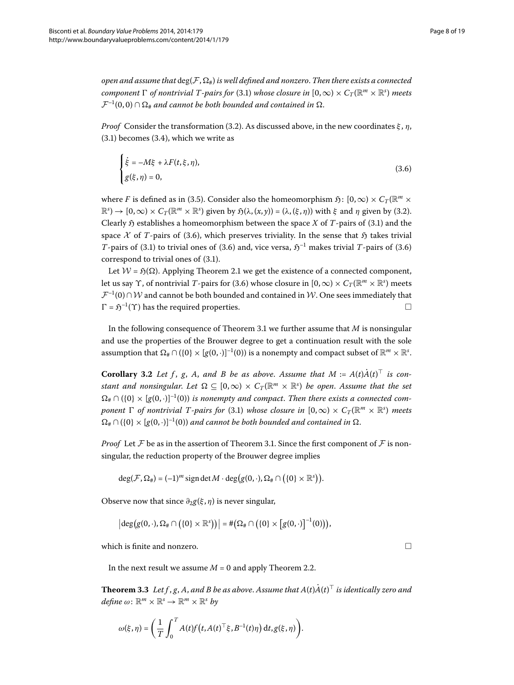*open and assume that*  $\deg(\mathcal{F}, \Omega_{\#})$  *is well defined and nonzero. Then there exists a connected component*  $\Gamma$  *of nontrivial T-pairs for* (3[.](#page-5-4)1) *whose closure in*  $[0,\infty) \times C_T (\mathbb{R}^m \times \mathbb{R}^s)$  *meets*  $\mathcal{F}^{-1}(0,0) \cap \Omega_{\#}$  and cannot be both bounded and contained in  $\Omega$ .

*Proof* Consider the transformation (3.2). As discussed above, in the new coordinates  $ξ$ , η,  $(3.1)$  $(3.1)$  $(3.1)$  becomes  $(3.4)$ , which we write as

<span id="page-7-0"></span>
$$
\begin{cases}\n\dot{\xi} = -M\xi + \lambda F(t, \xi, \eta), \\
g(\xi, \eta) = 0,\n\end{cases}
$$
\n(3.6)

where *F* is defined as in (3.5). Consider also the homeomorphism  $\mathfrak{H}: [0,\infty) \times C_T(\mathbb{R}^m \times$  $(\mathbb{R}^s) \to [0,\infty) \times C_T (\mathbb{R}^m \times \mathbb{R}^s)$  given by  $\mathfrak{H}(\lambda, (x, y)) = (\lambda, (\xi, \eta))$  with  $\xi$  and  $\eta$  given by (3.2). Clearly  $\mathfrak H$  establishes a homeomorphism between the space *X* of *T*-pairs of (3[.](#page-5-4)1) and the space  $\mathcal X$  of *T*-pairs of (3[.](#page-7-0)6), which preserves triviality. In the sense that  $\mathfrak H$  takes trivial *T*-pairs of (3[.](#page-5-4)1) to trivial ones of (3.6) and, vice versa,  $\mathfrak{H}^{-1}$  makes trivial *T*-pairs of (3.6) correspond to trivial ones of  $(3.1)$ .

<span id="page-7-1"></span>Let  $W = \mathfrak{H}(\Omega)$ [.](#page-3-1) Applying Theorem 2.1 we get the existence of a connected component, let us say *Y*, of nontrivial *T*-pairs for (3.6) whose closure in  $[0,\infty) \times C_T(\mathbb{R}^m \times \mathbb{R}^s)$  meets  $\mathcal{F}^{-1}(0) \cap \mathcal{W}$  and cannot be both bounded and contained in W. One sees immediately that  $\Gamma = \mathfrak{H}^{-1}(\Upsilon)$  has the required properties.  $\Gamma = \mathfrak{H}^{-1}(\Upsilon)$  has the required properties.

In the following consequence of Theorem 3[.](#page-6-4)1 we further assume that  $M$  is nonsingular and use the properties of the Brouwer degree to get a continuation result with the sole assumption that  $\Omega_\# \cap (\{0\} \times [g(0,\cdot)]^{-1}(0))$  is a nonempty and compact subset of  $\mathbb{R}^m \times \mathbb{R}^s$ .

**Corollary 3.2** Let f, g, A, and B be as above. Assume that  $M := A(t)A(t)$  is con*stant and nonsingular. Let*  $\Omega \subseteq [0,\infty) \times C_T(\mathbb{R}^m \times \mathbb{R}^s)$  *be open. Assume that the set*  $\Omega_{\#} \cap (\{0\} \times [g(0, \cdot)]^{-1}(0))$  *is nonempty and compact. Then there exists a connected component*  $\Gamma$  *of nontrivial T-pairs for* (3.1) *whose closure in*  $[0, \infty) \times C_T(\mathbb{R}^m \times \mathbb{R}^s)$  *meets*  $\Omega_{\#} \cap (\{0\} \times [g(0,\cdot)]^{-1}(0))$  *and cannot be both bounded and contained in*  $\Omega$ .

*Proof* Let  $\mathcal F$  be as in the assertion of Theorem 3.1. Since the first component of  $\mathcal F$  is nonsingular, the reduction property of the Brouwer degree implies

$$
\deg(\mathcal{F}, \Omega_{\#}) = (-1)^m \operatorname{sign} \det M \cdot \deg(g(0, \cdot), \Omega_{\#} \cap (\{0\} \times \mathbb{R}^s)).
$$

<span id="page-7-2"></span>Observe now that since *∂g*(*ξ* , *η*) is never singular,

$$
\left|\deg\big(g(0,\cdot),\Omega_{\#}\cap\big(\{0\}\times\mathbb{R}^s\big)\big)\right|=\#\big(\Omega_{\#}\cap\big(\{0\}\times\big[g(0,\cdot)\big]^{-1}(0)\big)\big),
$$

which is finite and nonzero.  $\Box$ 

In the next result we assume  $M = 0$  and apply Theorem 2[.](#page-4-2)2.

**Theorem 3.3** Let f , g, A, and B be as above. Assume that  $A(t)A(t)^{\top}$  is identically zero and  $define \omega: \mathbb{R}^m \times \mathbb{R}^s \rightarrow \mathbb{R}^m \times \mathbb{R}^s$  by

$$
\omega(\xi,\eta)=\bigg(\frac{1}{T}\int_0^T A(t)f\big(t,A(t)^\top\xi,B^{-1}(t)\eta\big)\,\mathrm{d} t, g(\xi,\eta)\bigg).
$$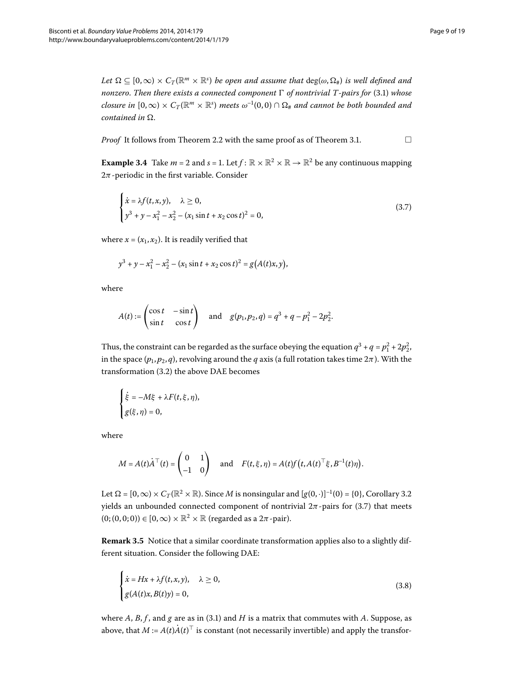<span id="page-8-3"></span> $Let \ \Omega \subseteq [0,\infty) \times C_T(\mathbb{R}^m \times \mathbb{R}^s)$  *be open and assume that*  $\deg(\omega, \Omega_{\#})$  *is well defined and nonzero. Then there exists a connected component*  $\Gamma$  *of nontrivial T-pairs for* (3.1) *whose closure in*  $[0,\infty) \times C_T(\mathbb{R}^m \times \mathbb{R}^s)$  meets  $\omega^{-1}(0,0) \cap \Omega_\#$  and cannot be both bounded and *contained in*  $\Omega$ .

*Proof* It follows from Theorem 2[.](#page-4-2)2 with the same proof as of Theorem 3.1.  $\Box$ 

**Example 3.4** Take  $m = 2$  and  $s = 1$ . Let  $f: \mathbb{R} \times \mathbb{R}^2 \times \mathbb{R} \to \mathbb{R}^2$  be any continuous mapping  $2\pi$ -periodic in the first variable. Consider

<span id="page-8-0"></span>
$$
\begin{cases} \n\dot{x} = \lambda f(t, x, y), & \lambda \ge 0, \\
y^3 + y - x_1^2 - x_2^2 - (x_1 \sin t + x_2 \cos t)^2 = 0,\n\end{cases} \tag{3.7}
$$

where  $x = (x_1, x_2)$ . It is readily verified that

$$
y^3 + y - x_1^2 - x_2^2 - (x_1 \sin t + x_2 \cos t)^2 = g(A(t)x, y),
$$

where

$$
A(t) := \begin{pmatrix} \cos t & -\sin t \\ \sin t & \cos t \end{pmatrix} \text{ and } g(p_1, p_2, q) = q^3 + q - p_1^2 - 2p_2^2.
$$

Thus, the constraint can be regarded as the surface obeying the equation  $q^3 + q = p_1^2 + 2p_2^2$ , in the space  $(p_1, p_2, q)$ , revolving around the *q* axis (a full rotation takes time  $2\pi$ ). With the transformation  $(3.2)$  the above DAE becomes

$$
\begin{cases} \dot{\xi} = -M\xi + \lambda F(t,\xi,\eta),\\ g(\xi,\eta) = 0, \end{cases}
$$

<span id="page-8-2"></span>where

<span id="page-8-1"></span>
$$
M = A(t)\dot{A}^\top(t) = \begin{pmatrix} 0 & 1 \\ -1 & 0 \end{pmatrix} \text{ and } F(t,\xi,\eta) = A(t)f(t,A(t)^\top\xi,B^{-1}(t)\eta).
$$

Let  $\Omega = [0,\infty) \times C_T(\mathbb{R}^2 \times \mathbb{R})$ [.](#page-7-1) Since *M* is nonsingular and  $[g(0,\cdot)]^{-1}(0) = \{0\}$ , Corollary 3.2 yields an unbounded connected component of nontrivial  $2\pi$ -pairs for (3.7) that meets  $(0;(0,0;0)) \in [0,\infty) \times \mathbb{R}^2 \times \mathbb{R}$  (regarded as a  $2\pi$ -pair).

**Remark 3.5** Notice that a similar coordinate transformation applies also to a slightly different situation. Consider the following DAE:

$$
\begin{cases}\n\dot{x} = Hx + \lambda f(t, x, y), & \lambda \ge 0, \\
g(A(t)x, B(t)y) = 0,\n\end{cases}
$$
\n(3.8)

where  $A$ ,  $B$ ,  $f$ , and  $g$  are as in (3.1) and  $H$  is a matrix that commutes with  $A$ . Suppose, as above, that  $M$  :=  $A(t)A(t)^{\top}$  is constant (not necessarily invertible) and apply the transfor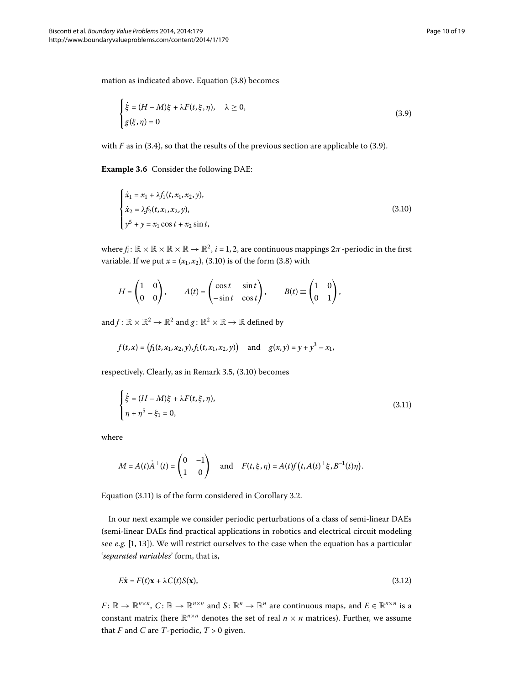mation as indicated above. Equation  $(3.8)$  becomes

<span id="page-9-1"></span><span id="page-9-0"></span>
$$
\begin{cases}\n\dot{\xi} = (H - M)\xi + \lambda F(t, \xi, \eta), & \lambda \ge 0, \\
g(\xi, \eta) = 0\n\end{cases}
$$
\n(3.9)

with  $F$  as in (3[.](#page-9-0)4), so that the results of the previous section are applicable to (3.9).

**Example 3.6** Consider the following DAE:

$$
\begin{cases}\n\dot{x}_1 = x_1 + \lambda f_1(t, x_1, x_2, y), \\
\dot{x}_2 = \lambda f_2(t, x_1, x_2, y), \\
y^5 + y = x_1 \cos t + x_2 \sin t,\n\end{cases}
$$
\n(3.10)

where  $f_i: \mathbb{R} \times \mathbb{R} \times \mathbb{R} \times \mathbb{R} \to \mathbb{R}^2$ ,  $i = 1, 2$ , are continuous mappings  $2\pi$ -periodic in the first variable[.](#page-9-1) If we put  $x = (x_1, x_2)$ , (3.10) is of the form (3.8) with

$$
H = \begin{pmatrix} 1 & 0 \\ 0 & 0 \end{pmatrix}, \qquad A(t) = \begin{pmatrix} \cos t & \sin t \\ -\sin t & \cos t \end{pmatrix}, \qquad B(t) \equiv \begin{pmatrix} 1 & 0 \\ 0 & 1 \end{pmatrix},
$$

and  $f: \mathbb{R} \times \mathbb{R}^2 \to \mathbb{R}^2$  and  $g: \mathbb{R}^2 \times \mathbb{R} \to \mathbb{R}$  defined by

<span id="page-9-2"></span>
$$
f(t,x) = (f_1(t,x_1,x_2,y), f_1(t,x_1,x_2,y))
$$
 and  $g(x,y) = y + y^3 - x_1$ ,

respectively. Clearly, as in Remark  $3.5$ ,  $(3.10)$  becomes

$$
\begin{cases} \dot{\xi} = (H - M)\xi + \lambda F(t, \xi, \eta), \\ \eta + \eta^5 - \xi_1 = 0, \end{cases}
$$
 (3.11)

where

<span id="page-9-3"></span>
$$
M = A(t)\dot{A}^\top(t) = \begin{pmatrix} 0 & -1 \\ 1 & 0 \end{pmatrix} \quad \text{and} \quad F(t,\xi,\eta) = A(t)f(t,A(t)^\top\xi,B^{-1}(t)\eta).
$$

Equation  $(3.11)$  $(3.11)$  $(3.11)$  is of the form considered in Corollary 3.2.

In our next example we consider periodic perturbations of a class of semi-linear DAEs (semi-linear DAEs find practical applications in robotics and electrical circuit modeling see e.g. [1[,](#page-17-2) 13]). We will restrict ourselves to the case when the equation has a particular '*separated variables*' form, that is,

$$
E\dot{\mathbf{x}} = F(t)\mathbf{x} + \lambda C(t)S(\mathbf{x}),\tag{3.12}
$$

*F*:  $\mathbb{R} \to \mathbb{R}^{n \times n}$ ,  $C: \mathbb{R} \to \mathbb{R}^{n \times n}$  and  $S: \mathbb{R}^n \to \mathbb{R}^n$  are continuous maps, and  $E \in \mathbb{R}^{n \times n}$  is a constant matrix (here  $\mathbb{R}^{n \times n}$  denotes the set of real  $n \times n$  matrices). Further, we assume that *F* and *C* are *T*-periodic,  $T > 0$  given.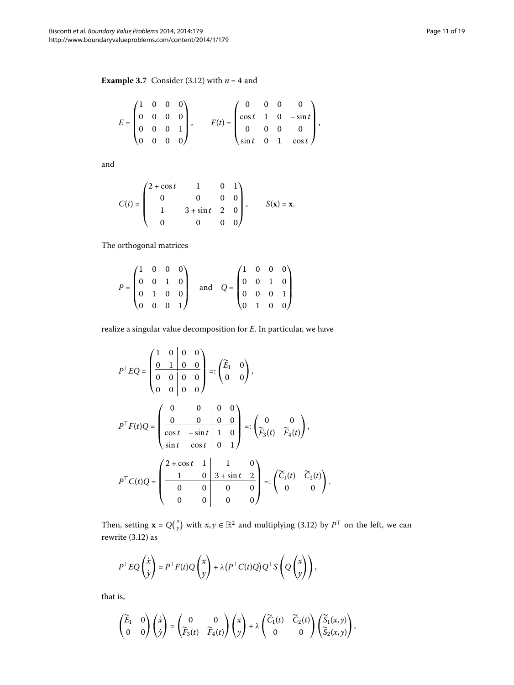<span id="page-10-0"></span>**Example 3[.](#page-9-3)7** Consider (3.12) with  $n = 4$  and

$$
E = \begin{pmatrix} 1 & 0 & 0 & 0 \\ 0 & 0 & 0 & 0 \\ 0 & 0 & 0 & 1 \\ 0 & 0 & 0 & 0 \end{pmatrix}, \qquad F(t) = \begin{pmatrix} 0 & 0 & 0 & 0 \\ \cos t & 1 & 0 & -\sin t \\ 0 & 0 & 0 & 0 \\ \sin t & 0 & 1 & \cos t \end{pmatrix},
$$

and

$$
C(t) = \begin{pmatrix} 2 + \cos t & 1 & 0 & 1 \\ 0 & 0 & 0 & 0 \\ 1 & 3 + \sin t & 2 & 0 \\ 0 & 0 & 0 & 0 \end{pmatrix}, \qquad S(\mathbf{x}) = \mathbf{x}.
$$

The orthogonal matrices

$$
P = \begin{pmatrix} 1 & 0 & 0 & 0 \\ 0 & 0 & 1 & 0 \\ 0 & 1 & 0 & 0 \\ 0 & 0 & 0 & 1 \end{pmatrix} \quad \text{and} \quad Q = \begin{pmatrix} 1 & 0 & 0 & 0 \\ 0 & 0 & 1 & 0 \\ 0 & 0 & 0 & 1 \\ 0 & 1 & 0 & 0 \end{pmatrix}
$$

realize a singular value decomposition for *E*. In particular, we have

$$
P^{T}EQ = \begin{pmatrix} 1 & 0 & 0 & 0 \\ 0 & 1 & 0 & 0 \\ 0 & 0 & 0 & 0 \\ 0 & 0 & 0 & 0 \end{pmatrix} =: \begin{pmatrix} \widetilde{E}_{1} & 0 \\ 0 & 0 \end{pmatrix},
$$
  
\n
$$
P^{T}F(t)Q = \begin{pmatrix} 0 & 0 & 0 & 0 \\ 0 & 0 & 0 & 0 \\ \cos t & -\sin t & 1 & 0 \\ \sin t & \cos t & 0 & 1 \end{pmatrix} =: \begin{pmatrix} 0 & 0 \\ \widetilde{F}_{3}(t) & \widetilde{F}_{4}(t) \end{pmatrix},
$$
  
\n
$$
P^{T}C(t)Q = \begin{pmatrix} 2 + \cos t & 1 & 1 & 0 \\ 1 & 0 & 3 + \sin t & 2 \\ 0 & 0 & 0 & 0 \\ 0 & 0 & 0 & 0 \end{pmatrix} =: \begin{pmatrix} \widetilde{C}_{1}(t) & \widetilde{C}_{2}(t) \\ 0 & 0 \end{pmatrix}.
$$

Then, setting  $\mathbf{x} = Q(\begin{matrix} x \ y \end{matrix})$  with  $x, y \in \mathbb{R}^2$  and multiplying (3.12) by  $P^\top$  on the left, we can rewrite  $(3.12)$  as

$$
P^{\top}EQ\begin{pmatrix} \dot{x} \\ \dot{y} \end{pmatrix} = P^{\top}F(t)Q\begin{pmatrix} x \\ y \end{pmatrix} + \lambda (P^{\top}C(t)Q)Q^{\top}S\left(Q\begin{pmatrix} x \\ y \end{pmatrix}\right),
$$

that is,

$$
\begin{pmatrix} \widetilde{E}_1 & 0 \\ 0 & 0 \end{pmatrix} \begin{pmatrix} \dot{x} \\ \dot{y} \end{pmatrix} = \begin{pmatrix} 0 & 0 \\ \widetilde{F}_3(t) & \widetilde{F}_4(t) \end{pmatrix} \begin{pmatrix} x \\ y \end{pmatrix} + \lambda \begin{pmatrix} \widetilde{C}_1(t) & \widetilde{C}_2(t) \\ 0 & 0 \end{pmatrix} \begin{pmatrix} \widetilde{S}_1(x,y) \\ \widetilde{S}_2(x,y) \end{pmatrix},
$$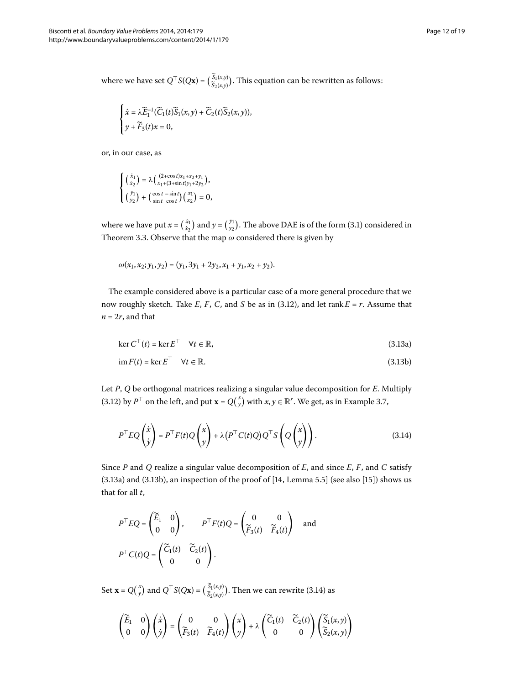where we have set  $Q^{\top}S(Q\mathbf{x}) = \begin{pmatrix} S_1(x,y) \\ \tilde{S}_2(x,y) \end{pmatrix}$ . This equation can be rewritten as follows:

$$
\begin{cases} \dot{x} = \lambda \widetilde{E}_1^{-1}(\widetilde{C}_1(t)\widetilde{S}_1(x,y) + \widetilde{C}_2(t)\widetilde{S}_2(x,y)),\\ y + \widetilde{F}_3(t)x = 0, \end{cases}
$$

or, in our case, as

$$
\begin{cases} \left(\begin{smallmatrix} \dot{x}_1 \\ \dot{x}_2 \end{smallmatrix}\right) = \lambda \Big(\begin{smallmatrix} (2+\cos t)x_1+x_2+y_1 \\ x_1+(3+\sin t)y_1+2y_2 \end{smallmatrix}\Big), \\ \left(\begin{smallmatrix} y_1 \\ y_2 \end{smallmatrix}\right) + \left(\begin{smallmatrix} \cos t & -\sin t \\ \sin t & \cos t \end{smallmatrix}\right) \Big(\begin{smallmatrix} x_1 \\ x_2 \end{smallmatrix}\Big) = 0, \end{cases}
$$

where we have put  $x = \binom{x_1}{x_2}$  and  $y = \binom{y_1}{y_2}$ [.](#page-5-4) The above DAE is of the form (3.1) considered in Theorem 3.3. Observe that the map  $\omega$  considered there is given by

<span id="page-11-1"></span><span id="page-11-0"></span>
$$
\omega(x_1, x_2; y_1, y_2) = (y_1, 3y_1 + 2y_2, x_1 + y_1, x_2 + y_2).
$$

The example considered above is a particular case of a more general procedure that we now roughly sketch[.](#page-9-3) Take  $E$ ,  $F$ ,  $C$ , and  $S$  be as in (3.12), and let rank  $E = r$ . Assume that  $n = 2r$ , and that

$$
\ker C^{\top}(t) = \ker E^{\top} \quad \forall t \in \mathbb{R}, \tag{3.13a}
$$

<span id="page-11-2"></span>
$$
\text{im}\,F(t) = \text{ker}\,E^{\top} \quad \forall t \in \mathbb{R}.\tag{3.13b}
$$

Let *P*, *Q* be orthogonal matrices realizing a singular value decomposition for *E*. Multiply (3[.](#page-10-0)12) by  $P^{\top}$  on the left, and put  $\mathbf{x} = Q\binom{x}{y}$  with  $x, y \in \mathbb{R}^r$ . We get, as in Example 3.7,

$$
PTEQ\begin{pmatrix} \dot{x} \\ \dot{y} \end{pmatrix} = PT F(t) Q\begin{pmatrix} x \\ y \end{pmatrix} + \lambda (PT C(t) Q) QT S\begin{pmatrix} x \\ Q\begin{pmatrix} x \\ y \end{pmatrix} \end{pmatrix}.
$$
 (3.14)

Since *P* and *Q* realize a singular value decomposition of *E*, and since *E*, *F*, and *C* satisfy  $(3.13a)$  and  $(3.13b)$ , an inspection of the proof of  $[14,$  Lemma 5.5[\]](#page-18-5) (see also  $[15]$ ) shows us that for all *t*,

$$
PTEQ = \begin{pmatrix} \widetilde{E}_1 & 0 \\ 0 & 0 \end{pmatrix}, \qquad PT F(t) Q = \begin{pmatrix} 0 & 0 \\ \widetilde{F}_3(t) & \widetilde{F}_4(t) \end{pmatrix} \text{ and }
$$
  

$$
PT C(t) Q = \begin{pmatrix} \widetilde{C}_1(t) & \widetilde{C}_2(t) \\ 0 & 0 \end{pmatrix}.
$$

Set  $\mathbf{x} = Q(\begin{matrix} x \ y \end{matrix})$  and  $Q^{\top}S(Q\mathbf{x}) = (\begin{matrix} \tilde{S}_1(x,y) \\ \tilde{S}_2(x,y) \end{matrix})$ . Then we can rewrite (3.14) as

$$
\begin{pmatrix} \widetilde{E}_1 & 0 \\ 0 & 0 \end{pmatrix} \begin{pmatrix} \dot{x} \\ \dot{y} \end{pmatrix} = \begin{pmatrix} 0 & 0 \\ \widetilde{F}_3(t) & \widetilde{F}_4(t) \end{pmatrix} \begin{pmatrix} x \\ y \end{pmatrix} + \lambda \begin{pmatrix} \widetilde{C}_1(t) & \widetilde{C}_2(t) \\ 0 & 0 \end{pmatrix} \begin{pmatrix} \widetilde{S}_1(x,y) \\ \widetilde{S}_2(x,y) \end{pmatrix}
$$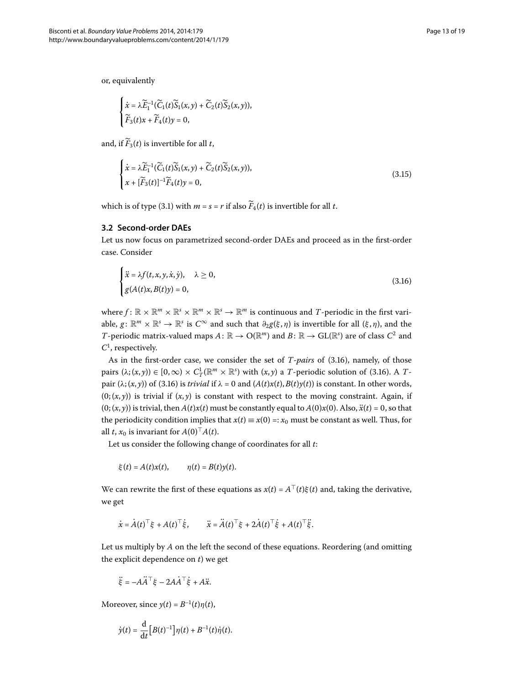or, equivalently

$$
\begin{cases} \dot{x} = \lambda \widetilde{E}_1^{-1}(\widetilde{C}_1(t)\widetilde{S}_1(x,y) + \widetilde{C}_2(t)\widetilde{S}_2(x,y)),\\ \widetilde{F}_3(t)x + \widetilde{F}_4(t)y = 0, \end{cases}
$$

<span id="page-12-0"></span>and, if  $\widetilde{F}_3(t)$  is invertible for all *t*,

<span id="page-12-1"></span>
$$
\begin{cases}\n\dot{x} = \lambda \widetilde{E}_1^{-1}(\widetilde{C}_1(t)\widetilde{S}_1(x,y) + \widetilde{C}_2(t)\widetilde{S}_2(x,y)), \\
x + [\widetilde{F}_3(t)]^{-1}\widetilde{F}_4(t)y = 0,\n\end{cases}
$$
\n(3.15)

which is of type (3[.](#page-5-4)1) with  $m = s = r$  if also  $\widetilde{F}_4(t)$  is invertible for all *t*.

#### **3.2 Second-order DAEs**

Let us now focus on parametrized second-order DAEs and proceed as in the first-order case. Consider

$$
\begin{cases}\n\ddot{x} = \lambda f(t, x, y, \dot{x}, \dot{y}), & \lambda \ge 0, \\
g(A(t)x, B(t)y) = 0,\n\end{cases}
$$
\n(3.16)

where  $f: \mathbb{R} \times \mathbb{R}^m \times \mathbb{R}^s \times \mathbb{R}^m \times \mathbb{R}^s \to \mathbb{R}^m$  is continuous and *T*-periodic in the first variable,  $g: \mathbb{R}^m \times \mathbb{R}^s \to \mathbb{R}^s$  is  $C^\infty$  and such that  $\partial_2 g(\xi, \eta)$  is invertible for all  $(\xi, \eta)$ , and the *T*-periodic matrix-valued maps  $A: \mathbb{R} \to O(\mathbb{R}^m)$  and  $B: \mathbb{R} \to GL(\mathbb{R}^s)$  are of class  $C^2$  and *C* , respectively.

As in the first-order case, we consider the set of *T-pairs* of (3.16), namely, of those pairs  $(\lambda; (x, y)) \in [0, \infty) \times C_T^1(\mathbb{R}^m \times \mathbb{R}^s)$  with  $(x, y)$  a *T*-periodic solution of (3.16). A *T*pair  $(\lambda; (x, y))$  of (3[.](#page-12-1)16) is *trivial* if  $\lambda = 0$  and  $(A(t)x(t), B(t)y(t))$  is constant. In other words,  $(0; (x, y))$  is trivial if  $(x, y)$  is constant with respect to the moving constraint. Again, if  $(0; (x, y))$  is trivial, then  $A(t)x(t)$  must be constantly equal to  $A(0)x(0)$ . Also,  $\ddot{x}(t) = 0$ , so that the periodicity condition implies that  $x(t) \equiv x(0) =: x_0$  must be constant as well. Thus, for all *t*,  $x_0$  is invariant for  $A(0)^\top A(t)$ .

Let us consider the following change of coordinates for all *t*:

$$
\xi(t) = A(t)x(t), \qquad \eta(t) = B(t)y(t).
$$

We can rewrite the first of these equations as  $x(t) = A^{\top}(t)\xi(t)$  and, taking the derivative, we get

$$
\dot{x} = \dot{A}(t)^{\top} \xi + A(t)^{\top} \dot{\xi}, \qquad \ddot{x} = \ddot{A}(t)^{\top} \xi + 2\dot{A}(t)^{\top} \dot{\xi} + A(t)^{\top} \ddot{\xi}.
$$

Let us multiply by *A* on the left the second of these equations. Reordering (and omitting the explicit dependence on *t*) we get

$$
\ddot{\xi} = -A\ddot{A}^\top \xi - 2A\dot{A}^\top \dot{\xi} + A\ddot{x}.
$$

Moreover, since  $y(t) = B^{-1}(t)\eta(t)$ ,

$$
\dot{y}(t) = \frac{\mathrm{d}}{\mathrm{d}t} \Big[ B(t)^{-1} \Big] \eta(t) + B^{-1}(t)\dot{\eta}(t).
$$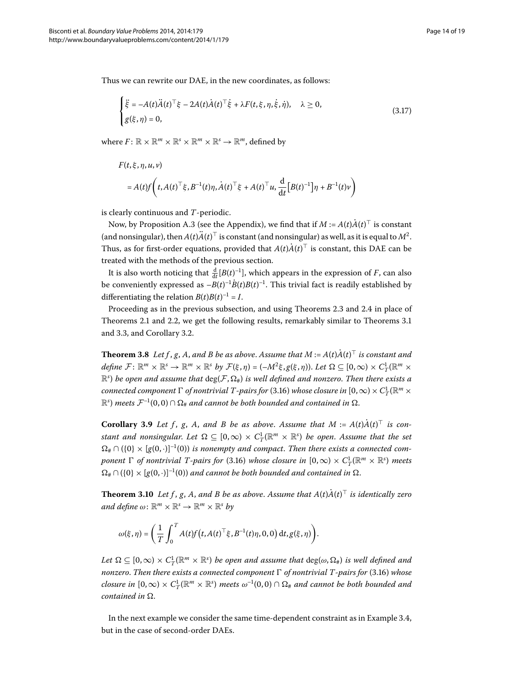Thus we can rewrite our DAE, in the new coordinates, as follows:

<span id="page-13-1"></span>
$$
\begin{cases} \ddot{\xi} = -A(t)\ddot{A}(t)^{\top}\xi - 2A(t)\dot{A}(t)^{\top}\dot{\xi} + \lambda F(t,\xi,\eta,\dot{\xi},\dot{\eta}), & \lambda \ge 0, \\ g(\xi,\eta) = 0, & (3.17) \end{cases}
$$

where  $F: \mathbb{R} \times \mathbb{R}^m \times \mathbb{R}^s \times \mathbb{R}^m \times \mathbb{R}^s \to \mathbb{R}^m$ , defined by

$$
F(t, \xi, \eta, u, v)
$$
  
=  $A(t)f\left(t, A(t)^{\top} \xi, B^{-1}(t)\eta, \dot{A}(t)^{\top} \xi + A(t)^{\top} u, \frac{d}{dt} [B(t)^{-1}]\eta + B^{-1}(t)v\right)$ 

is clearly continuous and *T*-periodic.

Now, by Proposition [A.](#page-16-0)3 (see the Appendix), we find that if  $M$  :=  $A(t)A(t)^\top$  is constant (and nonsingular), then  $A(t)\ddot{A}(t)^\top$  is constant (and nonsingular) as well, as it is equal to  $M^2$ . Thus, as for first-order equations, provided that  $A(t)A(t)^{\top}$  is constant, this DAE can be treated with the methods of the previous section.

It is also worth noticing that  $\frac{d}{dt} [B(t)^{-1}]$ , which appears in the expression of *F*, can also be conveniently expressed as  $-B(t)^{-1}B(t)B(t)^{-1}.$  This trivial fact is readily established by differentiating the relation  $B(t)B(t)^{-1} = I$ .

Proceeding as in the previous subsection, and using Theorems 2[.](#page-5-3)3 and 2.4 in place of Theorems 2[.](#page-6-4)1 and 2.2, we get the following results, remarkably similar to Theorems 3.1 and 3[.](#page-7-2)3, and Corollary 3.2.

<span id="page-13-0"></span>**Theorem 3.8** Let f , g , A , and B be as above. Assume that M :=  $A(t)A(t)^{\top}$  is constant and  $define\;\mathcal{F}\colon\mathbb{R}^m\times\mathbb{R}^s\to\mathbb{R}^m\times\mathbb{R}^s$  *by*  $\mathcal{F}(\xi,\eta)=(-M^2\xi,g(\xi,\eta)).$  Let  $\Omega\subseteq[0,\infty)\times C^1_T(\mathbb{R}^m\times\mathbb{R}^s)$  $\mathbb{R}^s$ ) be open and assume that  $\deg(\mathcal{F}, \Omega_{\#})$  is well defined and nonzero. Then there exists a *connected component*  $\Gamma$  *of nontrivial T-pairs for* (3.16) *whose closure in*  $[0,\infty)\times C_T^1(\mathbb{R}^m\times$  $\mathbb{R}^s$ ) meets  $\mathcal{F}^{-1}(0,0)\cap \Omega_\#$  and cannot be both bounded and contained in  $\Omega_\#$ 

**Corollary 3.9** Let f, g, A, and B be as above. Assume that  $M := A(t)A(t)$  is con*stant and nonsingular. Let*  $\Omega \subseteq [0,\infty) \times C_T^1(\mathbb{R}^m \times \mathbb{R}^s)$  be open. Assume that the set  $\Omega_{\#} \cap (\{0\} \times [g(0, \cdot)]^{-1}(0))$  *is nonempty and compact. Then there exists a connected component*  $\Gamma$  *of nontrivial T-pairs for* (3.16) *whose closure in*  $[0,\infty) \times C_T^1(\mathbb{R}^m \times \mathbb{R}^s)$  *meets*  $\Omega_{\#} \cap (\{0\} \times [g(0,\cdot)]^{-1}(0))$  and cannot be both bounded and contained in  $\Omega$ .

**Theorem 3.10** Let f, g, A, and B be as above. Assume that  $A(t)A(t)$ <sup> $\perp$ </sup> is identically zero *and define*  $\omega$ :  $\mathbb{R}^m \times \mathbb{R}^s \to \mathbb{R}^m \times \mathbb{R}^s$  *by* 

$$
\omega(\xi,\eta)=\bigg(\frac{1}{T}\int_0^T A(t)f\big(t,A(t)^\top\xi,B^{-1}(t)\eta,0,0\big)\,\mathrm{d} t, g(\xi,\eta)\bigg).
$$

 $Let \ \Omega \subseteq [0,\infty) \times C^1_T(\R^m \times \R^s)$  *be open and assume that*  $\deg(\omega, \Omega_{\#})$  *is well defined and nonzero. Then there exists a connected component*  $\Gamma$  *of nontrivial T-pairs for* (3.16) *whose closure in*  $[0,\infty) \times C^1_T(\mathbb{R}^m \times \mathbb{R}^s)$  meets  $\omega^{-1}(0,0) \cap \Omega_\#$  and cannot be both bounded and *contained in*  $\Omega$ .

In the next example we consider the same time-dependent constraint as in Example 3.4, but in the case of second-order DAEs.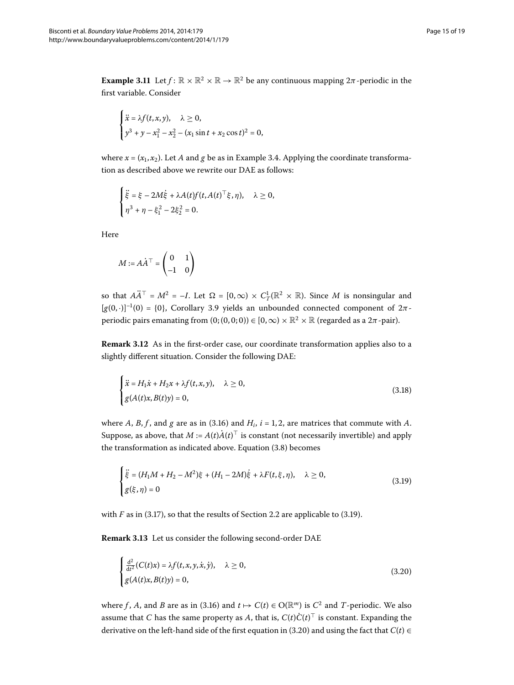**Example 3.11** Let  $f: \mathbb{R} \times \mathbb{R}^2 \times \mathbb{R} \to \mathbb{R}^2$  be any continuous mapping  $2\pi$ -periodic in the first variable. Consider

$$
\begin{cases} \n\ddot{x} = \lambda f(t, x, y), & \lambda \ge 0, \\
y^3 + y - x_1^2 - x_2^2 - (x_1 \sin t + x_2 \cos t)^2 = 0,\n\end{cases}
$$

where  $x = (x_1, x_2)$ [.](#page-8-3) Let *A* and *g* be as in Example 3.4. Applying the coordinate transformation as described above we rewrite our DAE as follows:

$$
\begin{cases} \ddot{\xi} = \xi - 2M\dot{\xi} + \lambda A(t)f(t, A(t)^{\top}\xi, \eta), & \lambda \ge 0, \\ \eta^3 + \eta - \xi_1^2 - 2\xi_2^2 = 0. \end{cases}
$$

Here

<span id="page-14-3"></span><span id="page-14-2"></span>
$$
M := A\dot{A}^\top = \begin{pmatrix} 0 & 1 \\ -1 & 0 \end{pmatrix}
$$

so that  $A\ddot{A}^{\top} = M^2 = -I$ . Let  $\Omega = [0, \infty) \times C_T^1(\mathbb{R}^2 \times \mathbb{R})$ . Since M is nonsingular and  $[g(0,\cdot)]^{-1}(0) = \{0\}$ , Corollary 3[.](#page-13-0)9 yields an unbounded connected component of  $2\pi$ periodic pairs emanating from  $(0; (0,0; 0)) \in [0,\infty) \times \mathbb{R}^2 \times \mathbb{R}$  (regarded as a  $2\pi$ -pair).

**Remark 3.12** As in the first-order case, our coordinate transformation applies also to a slightly different situation. Consider the following DAE:

<span id="page-14-0"></span>
$$
\begin{cases}\n\ddot{x} = H_1 \dot{x} + H_2 x + \lambda f(t, x, y), & \lambda \ge 0, \\
g(A(t)x, B(t)y) = 0,\n\end{cases}
$$
\n(3.18)

where *A*, *B*, *f*, and *g* are as in (3.16) and  $H_i$ ,  $i = 1, 2$ , are matrices that commute with *A*. Suppose, as above, that  $M := A(t)A(t)^{\perp}$  is constant (not necessarily invertible) and apply the transformation as indicated above[.](#page-8-1) Equation  $(3.8)$  becomes

<span id="page-14-1"></span>
$$
\begin{cases} \ddot{\xi} = (H_1 M + H_2 - M^2)\xi + (H_1 - 2M)\dot{\xi} + \lambda F(t, \xi, \eta), & \lambda \ge 0, \\ g(\xi, \eta) = 0 \end{cases}
$$
(3.19)

with  $F$  as in (3[.](#page-4-3)17), so that the results of Section 2.2 are applicable to (3.19).

**Remark 3.13** Let us consider the following second-order DAE

$$
\begin{cases}\n\frac{\mathrm{d}^2}{\mathrm{d}t^2}(C(t)x) = \lambda f(t, x, y, \dot{x}, \dot{y}), & \lambda \ge 0, \\
g(A(t)x, B(t)y) = 0,\n\end{cases}
$$
\n(3.20)

where *f*, *A*, and *B* are as in (3.16) and  $t \mapsto C(t) \in O(\mathbb{R}^m)$  is  $C^2$  and *T*-periodic. We also assume that  $C$  has the same property as  $A$ , that is,  $C(t)C(t)^{\top}$  is constant. Expanding the derivative on the left-hand side of the first equation in (3.20) and using the fact that  $C(t) \in$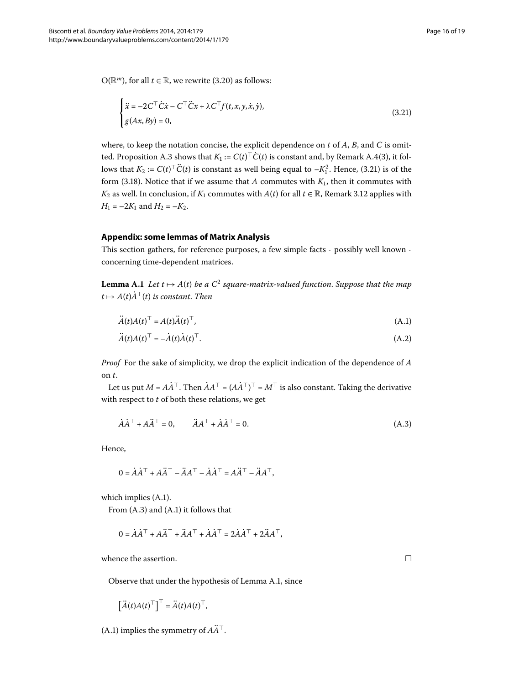O( $\mathbb{R}^m$ ), for all  $t \in \mathbb{R}$ , we rewrite (3.20) as follows:

<span id="page-15-0"></span>
$$
\begin{cases} \n\ddot{x} = -2C^{\top} \dot{C} \dot{x} - C^{\top} \ddot{C} x + \lambda C^{\top} f(t, x, y, \dot{x}, \dot{y}), \\
g(Ax, By) = 0,\n\end{cases}
$$
\n(3.21)

where, to keep the notation concise, the explicit dependence on *t* of *A*, *B*, and *C* is omit-ted. Proposition [A.](#page-16-0)3 shows that  $K_1 := C(t)$   $\mid$   $C(t)$  is constant and, by Remark A.4(3), it follows that  $K_2 := C(t)^\top \ddot{C}(t)$  is constant as well being equal to  $-K_1^2$ . Hence, (3.21) is of the form (3.18). Notice that if we assume that *A* commutes with  $K_1$ , then it commutes with *K*<sub>2</sub> as well[.](#page-14-3) In conclusion, if *K*<sub>1</sub> commutes with *A*(*t*) for all *t* ∈ R, Remark 3.12 applies with  $H_1 = -2K_1$  and  $H_2 = -K_2$ .

## <span id="page-15-3"></span>**Appendix: some lemmas of Matrix Analysis**

This section gathers, for reference purposes, a few simple facts - possibly well known concerning time-dependent matrices.

**Lemma A.1** Let  $t \mapsto A(t)$  be a  $C^2$  square-matrix-valued function. Suppose that the map  $t \mapsto A(t) \dot{A}^\top(t)$  *is constant. Then* 

<span id="page-15-4"></span><span id="page-15-1"></span>
$$
\ddot{A}(t)A(t)^{\top} = A(t)\ddot{A}(t)^{\top},\tag{A.1}
$$

$$
\ddot{A}(t)A(t)^{\top} = -\dot{A}(t)\dot{A}(t)^{\top}.
$$
\n(A.2)

*Proof* For the sake of simplicity, we drop the explicit indication of the dependence of *A* on *t*.

Let us put  $M = AA^{\top}$  . Then  $AA^{\top} = (AA^{\top})^{\top} = M^{\top}$  is also constant. Taking the derivative with respect to *t* of both these relations, we get

$$
\dot{A}\dot{A}^{\top} + A\ddot{A}^{\top} = 0, \qquad \ddot{A}A^{\top} + \dot{A}\dot{A}^{\top} = 0.
$$
 (A.3)

Hence,

$$
0 = \dot{A}\dot{A}^{\top} + A\ddot{A}^{\top} - \ddot{A}A^{\top} - \dot{A}\dot{A}^{\top} = A\ddot{A}^{\top} - \ddot{A}A^{\top},
$$

which implies  $(A.1)$  $(A.1)$ .

From  $(A.3)$  $(A.3)$  $(A.3)$  and  $(A.1)$  it follows that

$$
0 = \dot{A}\dot{A}^{\top} + A\ddot{A}^{\top} + \ddot{A}A^{\top} + \dot{A}\dot{A}^{\top} = 2\dot{A}\dot{A}^{\top} + 2\ddot{A}A^{\top},
$$

whence the assertion.

Observe that under the hypothesis of Lemma [A.](#page-15-3)1, since

$$
\left[\ddot{A}(t)A(t)^{\top}\right]^{\top}=\ddot{A}(t)A(t)^{\top},
$$

([A.](#page-15-1)1) implies the symmetry of  $A\ddot{A}^\top$ .

<span id="page-15-2"></span> $\Box$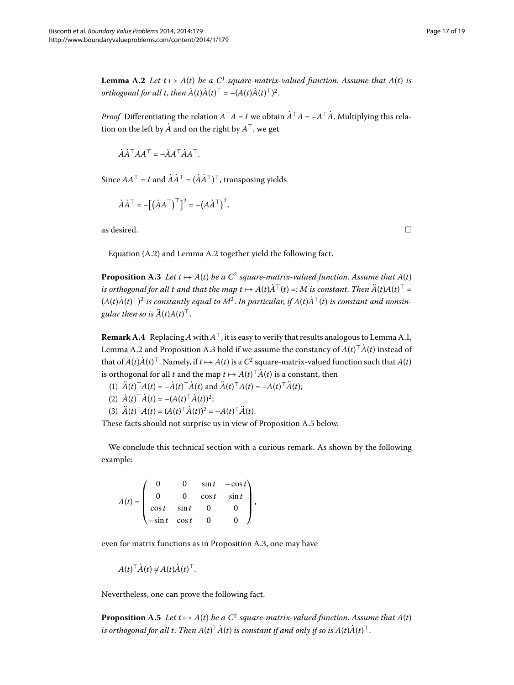<span id="page-16-2"></span>**Lemma A.2** Let  $t \mapsto A(t)$  be a C<sup>1</sup> square-matrix-valued function. Assume that  $A(t)$  is *orthogonal for all t, then*  $A(t)A(t)^{\top} = -(A(t)A(t)^{\top})^2$ .

*Proof* Differentiating the relation  $A^{\top}A = I$  we obtain  $A^{\top}A = -A^{\top}A$ . Multiplying this relation on the left by  $\dot{A}$  and on the right by  $A^{\top}$ , we get

 $\vec{A} \vec{A}^\top A \vec{A}^\top = -\vec{A} \vec{A}^\top \vec{A} \vec{A}^\top$ 

Since  $AA^{\top} = I$  and  $AA^{\top} = (AA^{\top})^{\top}$ , transposing yields

<span id="page-16-0"></span>
$$
\dot{A}\dot{A}^{\top} = -[(\dot{A}A^{\top})^{\top}]^2 = -(A\dot{A}^{\top})^2,
$$

as desired.  $\Box$ 

<span id="page-16-1"></span>Equation  $(A.2)$  $(A.2)$  $(A.2)$  and Lemma A.2 together yield the following fact.

**Proposition A.3** Let  $t \mapsto A(t)$  be a  $C^2$  square-matrix-valued function. Assume that  $A(t)$ *is orthogonal for all t and that the map*  $t \mapsto A(t)A^{\top}(t) =: M$  *is constant. Then*  $A(t)A(t)^{\top} =$  $(A(t)A(t)^\top)^2$  is constantly equal to  $M^2.$  In particular, if  $A(t)A^\top(t)$  is constant and nonsingular then so is  $A(t)A(t)^{\top}$ .

**Remark A.4** Replacing A with  $A^{\top}$ , it is easy to verify that results analogous to Lemma A.1, Lemma [A.](#page-16-0)2 and Proposition A.3 hold if we assume the constancy of  $A(t)$   $^{\scriptscriptstyle +}A(t)$  instead of that of  $A(t)A(t)^{\top}$ . Namely, if  $t \mapsto A(t)$  is a  $C^2$  square-matrix-valued function such that  $A(t)$ is orthogonal for all *t* and the map  $t \mapsto A(t)^{\top}A(t)$  is a constant, then

- (1)  $A(t)^{\top}A(t) = -A(t)^{\top}A(t)$  and  $A(t)^{\top}A(t) = -A(t)^{\top}A(t);$
- $(A(t)^{\top}A(t)) = -(A(t)^{\top}A(t))^2;$

$$
(3) \ \ddot{A}(t)^{\top} A(t) = (A(t)^{\top} \dot{A}(t))^2 = -A(t)^{\top} \ddot{A}(t).
$$

These facts should not surprise us in view of Proposition [A.](#page-16-3)5 below.

We conclude this technical section with a curious remark. As shown by the following example:

 $A(t) =$  $\sqrt{2}$  $\vert$ 0 0  $\sin t$  –  $\cos t$ 0 0  $\cos t$   $\sin t$  $\cos t$   $\sin t$  0 0  $-\sin t$   $\cos t$  0 0 ⎞  $\Bigg\}$ 

<span id="page-16-3"></span>even for matrix functions as in Proposition A.3, one may have

$$
A(t)^{\top} \dot{A}(t) \neq A(t) \dot{A}(t)^{\top}.
$$

Nevertheless, one can prove the following fact.

**Proposition A.5** Let  $t \mapsto A(t)$  be a  $C^2$  square-matrix-valued function. Assume that  $A(t)$ is orthogonal for all t. Then  $A(t)$   $^{\scriptscriptstyle\perp} A(t)$  is constant if and only if so is  $A(t)A(t)$   $^{\scriptscriptstyle\perp}$  .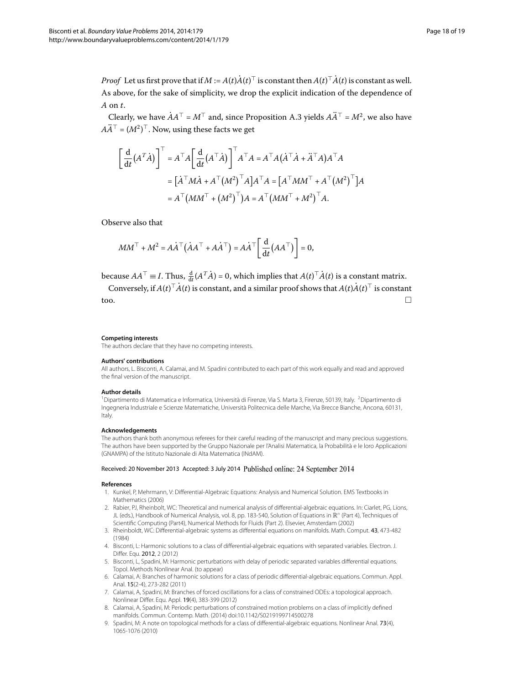*Proof* Let us first prove that if  $M := A(t)A(t)^{\top}$  is constant then  $A(t)^{\top}A(t)$  is constant as well. As above, for the sake of simplicity, we drop the explicit indication of the dependence of *A* on *t*.

Clearly, we have  $AA^{\top} = M^{\top}$  and, since Proposition [A.](#page-16-0)3 yields  $A\ddot{A}^{\top} = M^2$ , we also have  $A\widetilde{A}^\top = (M^2)^\top.$  Now, using these facts we get

$$
\begin{aligned}\n\left[\frac{d}{dt}(A^T\dot{A})\right]^{\top} &= A^{\top}A \left[\frac{d}{dt}(A^{\top}\dot{A})\right]^{\top} A^{\top}A = A^{\top}A(\dot{A}^{\top}\dot{A} + \ddot{A}^{\top}A)A^{\top}A \\
&= [\dot{A}^{\top}M\dot{A} + A^{\top}(M^2)^{\top}A]A^{\top}A = [A^{\top}MM^{\top} + A^{\top}(M^2)^{\top}]A \\
&= A^{\top}(MM^{\top} + (M^2)^{\top})A = A^{\top}(MM^{\top} + M^2)^{\top}A.\n\end{aligned}
$$

Observe also that

<span id="page-17-1"></span>
$$
MM^\top + M^2 = A\dot{A}^\top (\dot{A}A^\top + A\dot{A}^\top) = A\dot{A}^\top \left[ \frac{d}{dt} (AA^\top) \right] = 0,
$$

because  $AA^{\top} \equiv I$ . Thus,  $\frac{d}{dt}(A^{T}\dot{A}) = 0$ , which implies that  $A(t)^{\top}\dot{A}(t)$  is a constant matrix.

Conversely, if  $A(t)^{\top}A(t)$  is constant, and a similar proof shows that  $A(t)A(t)^{\top}$  is constant too.

#### <span id="page-17-0"></span>**Competing interests**

The authors declare that they have no competing interests.

#### **Authors' contributions**

All authors, L. Bisconti, A. Calamai, and M. Spadini contributed to each part of this work equally and read and approved the final version of the manuscript.

#### **Author details**

<span id="page-17-2"></span><sup>1</sup>Dipartimento di Matematica e Informatica, Università di Firenze, Via S. Marta 3, Firenze, 50139, Italy. <sup>2</sup>Dipartimento di Ingegneria Industriale e Scienze Matematiche, Università Politecnica delle Marche, Via Brecce Bianche, Ancona, 60131, Italy.

#### <span id="page-17-4"></span>**Acknowledgements**

<span id="page-17-3"></span>The authors thank both anonymous referees for their careful reading of the manuscript and many precious suggestions. The authors have been supported by the Gruppo Nazionale per l'Analisi Matematica, la Probabilità e le loro Applicazioni (GNAMPA) of the Istituto Nazionale di Alta Matematica (INdAM).

#### <span id="page-17-5"></span>Received: 20 November 2013 Accepted: 3 July 2014 Published online: 24 September 2014

#### <span id="page-17-9"></span><span id="page-17-7"></span>**References**

- 1. Kunkel, P, Mehrmann, V: Differential-Algebraic Equations: Analysis and Numerical Solution. EMS Textbooks in Mathematics (2006)
- <span id="page-17-8"></span>2. Rabier, PJ, Rheinbolt, WC: Theoretical and numerical analysis of differential-algebraic equations. In: Ciarlet, PG, Lions, JL (eds.), Handbook of Numerical Analysis, vol. 8, pp. 183-540, Solution of Equations in  $\mathbb{R}^n$  (Part 4), Techniques of Scientific Computing (Part4), Numerical Methods for Fluids (Part 2). Elsevier, Amsterdam (2002)
- <span id="page-17-10"></span>3. Rheinboldt, WC: Differential-algebraic systems as differential equations on manifolds. Math. Comput. 43, 473-482 (1984)
- <span id="page-17-6"></span>4. Bisconti, L: Harmonic solutions to a class of differential-algebraic equations with separated variables. Electron. J. Differ. Equ. 2012, 2 (2012)
- 5. Bisconti, L, Spadini, M: Harmonic perturbations with delay of periodic separated variables differential equations. Topol. Methods Nonlinear Anal. (to appear)
- 6. Calamai, A: Branches of harmonic solutions for a class of periodic differential-algebraic equations. Commun. Appl. Anal. 15(2-4), 273-282 (2011)
- 7. Calamai, A, Spadini, M: Branches of forced oscillations for a class of constrained ODEs: a topological approach. Nonlinear Differ. Equ. Appl. 19(4), 383-399 (2012)
- 8. Calamai, A, Spadini, M: Periodic perturbations of constrained motion problems on a class of implicitly defined manifolds. Commun. Contemp. Math. (2014) doi[:10.1142/S0219199714500278](http://dx.doi.org/10.1142/S0219199714500278)
- 9. Spadini, M: A note on topological methods for a class of differential-algebraic equations. Nonlinear Anal. 73(4), 1065-1076 (2010)